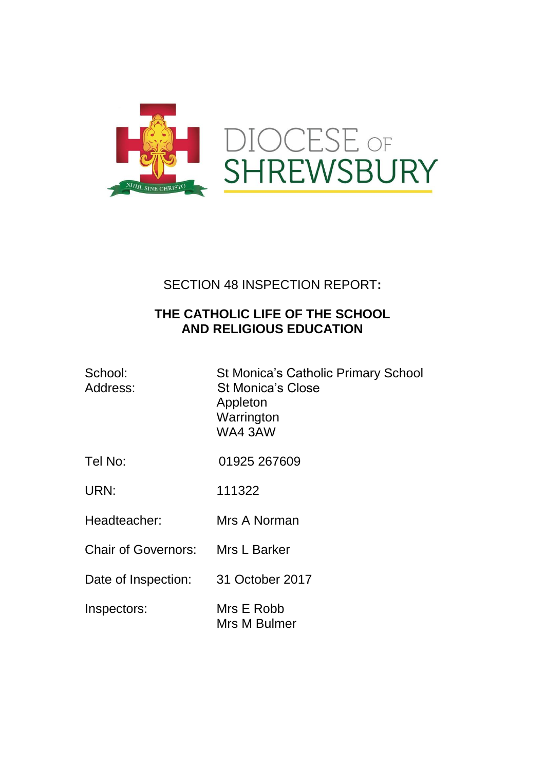

# SECTION 48 INSPECTION REPORT**:**

## **THE CATHOLIC LIFE OF THE SCHOOL AND RELIGIOUS EDUCATION**

| School:<br>Address:              | St Monica's Catholic Primary School<br><b>St Monica's Close</b><br>Appleton<br>Warrington<br>WA43AW |
|----------------------------------|-----------------------------------------------------------------------------------------------------|
| Tel No:                          | 01925 267609                                                                                        |
| URN:                             | 111322                                                                                              |
| Headteacher:                     | Mrs A Norman                                                                                        |
| Chair of Governors: Mrs L Barker |                                                                                                     |
| Date of Inspection:              | 31 October 2017                                                                                     |
| Inspectors:                      | Mrs E Robb<br>Mrs M Bulmer                                                                          |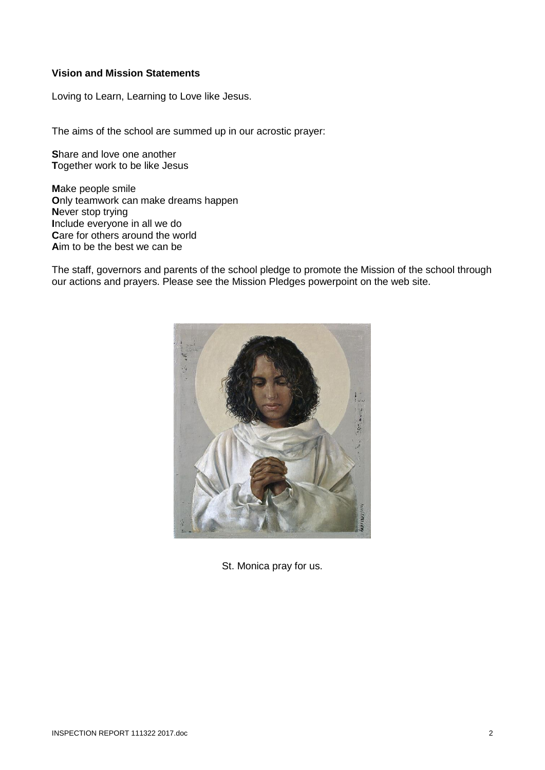#### **Vision and Mission Statements**

Loving to Learn, Learning to Love like Jesus.

The aims of the school are summed up in our acrostic prayer:

**S**hare and love one another **T**ogether work to be like Jesus

**M**ake people smile **O**nly teamwork can make dreams happen **N**ever stop trying **I**nclude everyone in all we do **Care for others around the world A**im to be the best we can be

The staff, governors and parents of the school pledge to promote the Mission of the school through our actions and prayers. Please see the Mission Pledges powerpoint on the web site.



St. Monica pray for us.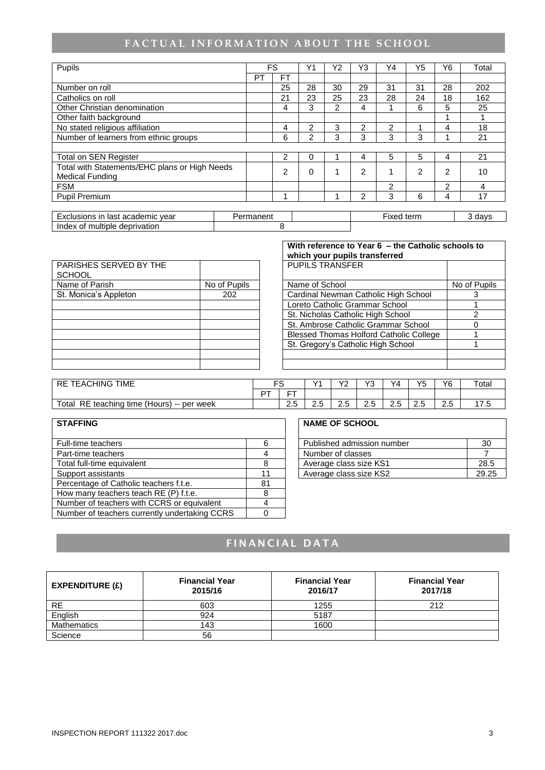## FACTUAL INFORMATION ABOUT THE SCHOOL

| Pupils                                        |  |           | FS             | Υ1       | Y2 | Y3 | Y4         | Y5 | Y6             | Total  |
|-----------------------------------------------|--|-----------|----------------|----------|----|----|------------|----|----------------|--------|
|                                               |  | PT        | <b>FT</b>      |          |    |    |            |    |                |        |
| Number on roll                                |  |           | 25             | 28       | 30 | 29 | 31         | 31 | 28             | 202    |
| Catholics on roll                             |  |           | 21             | 23       | 25 | 23 | 28         | 24 | 18             | 162    |
| Other Christian denomination                  |  |           | 4              | 3        | 2  | 4  |            | 6  | 5              | 25     |
| Other faith background                        |  |           |                |          |    |    |            |    |                |        |
| No stated religious affiliation               |  |           | 4              | 2        | 3  | 2  | 2          |    | 4              | 18     |
| Number of learners from ethnic groups         |  |           | 6              | 2        | 3  | 3  | 3          | 3  |                | 21     |
|                                               |  |           |                |          |    |    |            |    |                |        |
| <b>Total on SEN Register</b>                  |  |           | 2              | 0        |    | 4  | 5          | 5  | 4              | 21     |
| Total with Statements/EHC plans or High Needs |  |           | $\overline{2}$ | $\Omega$ | 4  | 2  |            | 2  | 2              | 10     |
| <b>Medical Funding</b>                        |  |           |                |          |    |    |            |    |                |        |
| <b>FSM</b>                                    |  |           |                |          |    |    | 2          |    | $\overline{c}$ | 4      |
| Pupil Premium                                 |  |           | 4              |          |    | 2  | 3          | 6  | 4              | 17     |
|                                               |  |           |                |          |    |    |            |    |                |        |
| Exclusions in last academic year              |  | Permanent |                |          |    |    | Fixed term |    |                | 3 days |
| Index of multiple deprivation                 |  |           | 8              |          |    |    |            |    |                |        |

|                                         |              | www.caregore.com                        |         |
|-----------------------------------------|--------------|-----------------------------------------|---------|
| PARISHES SERVED BY THE<br><b>SCHOOL</b> |              | <b>PUPILS TRANSFER</b>                  |         |
| Name of Parish                          | No of Pupils | Name of School                          | No of F |
| St. Monica's Appleton                   | 202          | Cardinal Newman Catholic High School    |         |
|                                         |              | Loreto Catholic Grammar School          |         |
|                                         |              | St. Nicholas Catholic High School       |         |
|                                         |              | St. Ambrose Catholic Grammar School     |         |
|                                         |              | Blessed Thomas Holford Catholic College |         |
|                                         |              | St. Gregory's Catholic High School      |         |
|                                         |              |                                         |         |
|                                         |              |                                         |         |
|                                         |              |                                         |         |

|                                  |              | With reference to Year 6 - the Catholic schools to<br>which your pupils transferred |              |
|----------------------------------|--------------|-------------------------------------------------------------------------------------|--------------|
| PARISHES SERVED BY THE<br>SCHOOL |              | <b>PUPILS TRANSFER</b>                                                              |              |
| Name of Parish                   | No of Pupils | Name of School                                                                      | No of Pupils |
| St. Monica's Appleton            | 202          | Cardinal Newman Catholic High School                                                |              |
|                                  |              | Loreto Catholic Grammar School                                                      |              |
|                                  |              | St. Nicholas Catholic High School                                                   |              |
|                                  |              | St. Ambrose Catholic Grammar School                                                 |              |
|                                  |              | <b>Blessed Thomas Holford Catholic College</b>                                      |              |
|                                  |              | St. Gregory's Catholic High School                                                  |              |
|                                  |              |                                                                                     |              |
|                                  |              |                                                                                     |              |

| <b>TIME</b><br><b>EACHING</b><br><b>RE</b>            | $\overline{\phantom{0}}$ |                       | $\sqrt{4}$ | vo<br>. . | $\sqrt{2}$                | Y4 | VF<br>w  | Υ6                     | $\tau$ otal |
|-------------------------------------------------------|--------------------------|-----------------------|------------|-----------|---------------------------|----|----------|------------------------|-------------|
|                                                       | ∽−                       | --                    |            |           |                           |    |          |                        |             |
| time (Hours) -- per week<br>Total<br>RE ∶<br>teaching |                          | -<br>$\sqrt{2}$<br>ے، | -<br>ے ۔   | ن.ء       | $\sim$ $\sim$<br>∽<br>ے ۔ | ت  | ⌒<br>ے ۔ | $\sqrt{ }$<br>ົ<br>ن.ء | ں ،         |

| <b>STAFFING</b>                               |    | <b>NAME OF SCHOOL</b>      |       |
|-----------------------------------------------|----|----------------------------|-------|
| Full-time teachers                            | 6  | Published admission number | 30    |
| Part-time teachers                            |    | Number of classes          |       |
| Total full-time equivalent                    | 8  | Average class size KS1     | 28.5  |
| Support assistants                            | 11 | Average class size KS2     | 29.25 |
| Percentage of Catholic teachers f.t.e.        | 81 |                            |       |
| How many teachers teach RE (P) f.t.e.         | 8  |                            |       |
| Number of teachers with CCRS or equivalent    |    |                            |       |
| Number of teachers currently undertaking CCRS |    |                            |       |

| Published admission number |      |
|----------------------------|------|
| Number of classes          |      |
| Average class size KS1     | 28.5 |
| Average class size KS2     |      |

## **F I N A N C I A L D A T A**

| EXPENDITURE (E) | <b>Financial Year</b><br>2015/16 | <b>Financial Year</b><br>2016/17 | <b>Financial Year</b><br>2017/18 |
|-----------------|----------------------------------|----------------------------------|----------------------------------|
| RE.             | 603                              | 1255                             | 212                              |
| English         | 924                              | 5187                             |                                  |
| Mathematics     | 143                              | 1600                             |                                  |
| Science         | 56                               |                                  |                                  |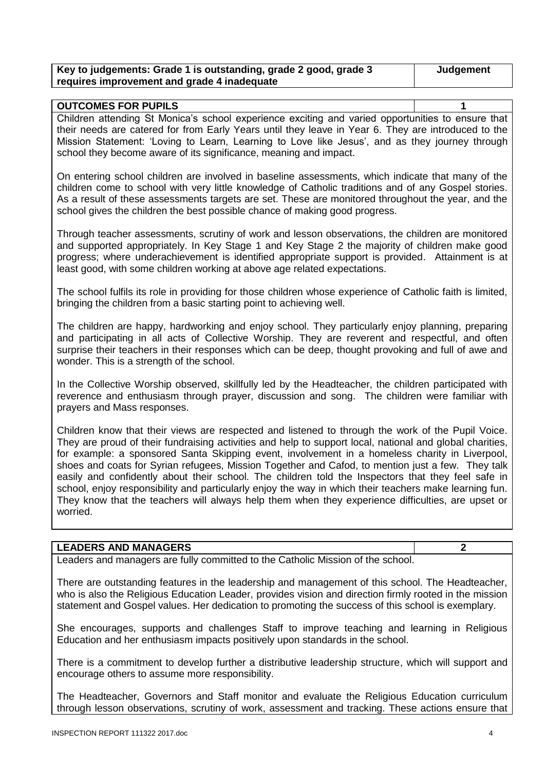| Key to judgements: Grade 1 is outstanding, grade 2 good, grade 3 | Judgement |
|------------------------------------------------------------------|-----------|
| requires improvement and grade 4 inadequate                      |           |

| <b>OUTCOMES FOR PUPILS</b>                                                                          |  |
|-----------------------------------------------------------------------------------------------------|--|
| Children attending St Monica's school experience exciting and varied opportunities to ensure that   |  |
| their needs are catered for from Early Years until they leave in Year 6. They are introduced to the |  |
| Mission Statement: 'Loving to Learn, Learning to Love like Jesus', and as they journey through      |  |
| school they become aware of its significance, meaning and impact.                                   |  |

On entering school children are involved in baseline assessments, which indicate that many of the children come to school with very little knowledge of Catholic traditions and of any Gospel stories. As a result of these assessments targets are set. These are monitored throughout the year, and the school gives the children the best possible chance of making good progress.

Through teacher assessments, scrutiny of work and lesson observations, the children are monitored and supported appropriately. In Key Stage 1 and Key Stage 2 the majority of children make good progress; where underachievement is identified appropriate support is provided. Attainment is at least good, with some children working at above age related expectations.

The school fulfils its role in providing for those children whose experience of Catholic faith is limited, bringing the children from a basic starting point to achieving well.

The children are happy, hardworking and enjoy school. They particularly enjoy planning, preparing and participating in all acts of Collective Worship. They are reverent and respectful, and often surprise their teachers in their responses which can be deep, thought provoking and full of awe and wonder. This is a strength of the school.

In the Collective Worship observed, skillfully led by the Headteacher, the children participated with reverence and enthusiasm through prayer, discussion and song. The children were familiar with prayers and Mass responses.

Children know that their views are respected and listened to through the work of the Pupil Voice. They are proud of their fundraising activities and help to support local, national and global charities, for example: a sponsored Santa Skipping event, involvement in a homeless charity in Liverpool, shoes and coats for Syrian refugees, Mission Together and Cafod, to mention just a few. They talk easily and confidently about their school. The children told the Inspectors that they feel safe in school, enjoy responsibility and particularly enjoy the way in which their teachers make learning fun. They know that the teachers will always help them when they experience difficulties, are upset or worried.

#### **LEADERS AND MANAGERS 2**

Leaders and managers are fully committed to the Catholic Mission of the school.

There are outstanding features in the leadership and management of this school. The Headteacher, who is also the Religious Education Leader, provides vision and direction firmly rooted in the mission statement and Gospel values. Her dedication to promoting the success of this school is exemplary.

She encourages, supports and challenges Staff to improve teaching and learning in Religious Education and her enthusiasm impacts positively upon standards in the school.

There is a commitment to develop further a distributive leadership structure, which will support and encourage others to assume more responsibility.

The Headteacher, Governors and Staff monitor and evaluate the Religious Education curriculum through lesson observations, scrutiny of work, assessment and tracking. These actions ensure that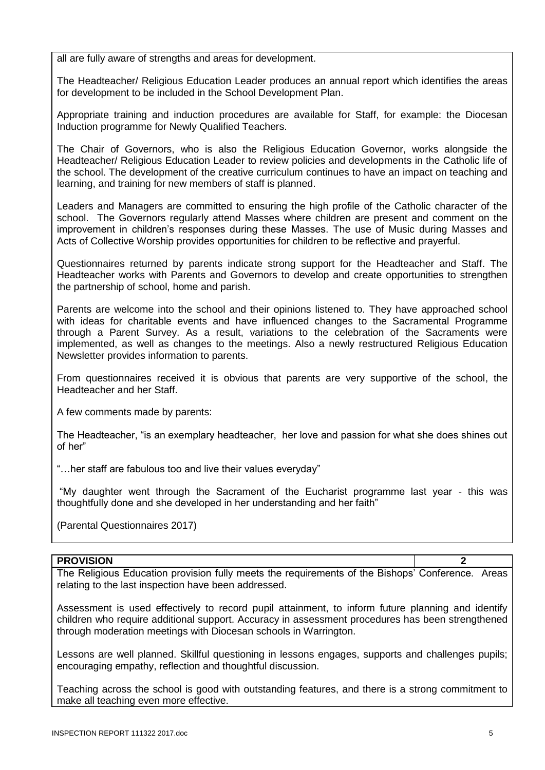all are fully aware of strengths and areas for development.

The Headteacher/ Religious Education Leader produces an annual report which identifies the areas for development to be included in the School Development Plan.

Appropriate training and induction procedures are available for Staff, for example: the Diocesan Induction programme for Newly Qualified Teachers.

The Chair of Governors, who is also the Religious Education Governor, works alongside the Headteacher/ Religious Education Leader to review policies and developments in the Catholic life of the school. The development of the creative curriculum continues to have an impact on teaching and learning, and training for new members of staff is planned.

Leaders and Managers are committed to ensuring the high profile of the Catholic character of the school. The Governors regularly attend Masses where children are present and comment on the improvement in children's responses during these Masses. The use of Music during Masses and Acts of Collective Worship provides opportunities for children to be reflective and prayerful.

Questionnaires returned by parents indicate strong support for the Headteacher and Staff. The Headteacher works with Parents and Governors to develop and create opportunities to strengthen the partnership of school, home and parish.

Parents are welcome into the school and their opinions listened to. They have approached school with ideas for charitable events and have influenced changes to the Sacramental Programme through a Parent Survey. As a result, variations to the celebration of the Sacraments were implemented, as well as changes to the meetings. Also a newly restructured Religious Education Newsletter provides information to parents.

From questionnaires received it is obvious that parents are very supportive of the school, the Headteacher and her Staff.

A few comments made by parents:

The Headteacher, "is an exemplary headteacher, her love and passion for what she does shines out of her"

"…her staff are fabulous too and live their values everyday"

"My daughter went through the Sacrament of the Eucharist programme last year - this was thoughtfully done and she developed in her understanding and her faith"

(Parental Questionnaires 2017)

#### **PROVISION 2**

The Religious Education provision fully meets the requirements of the Bishops' Conference. Areas relating to the last inspection have been addressed.

Assessment is used effectively to record pupil attainment, to inform future planning and identify children who require additional support. Accuracy in assessment procedures has been strengthened through moderation meetings with Diocesan schools in Warrington.

Lessons are well planned. Skillful questioning in lessons engages, supports and challenges pupils; encouraging empathy, reflection and thoughtful discussion.

Teaching across the school is good with outstanding features, and there is a strong commitment to make all teaching even more effective.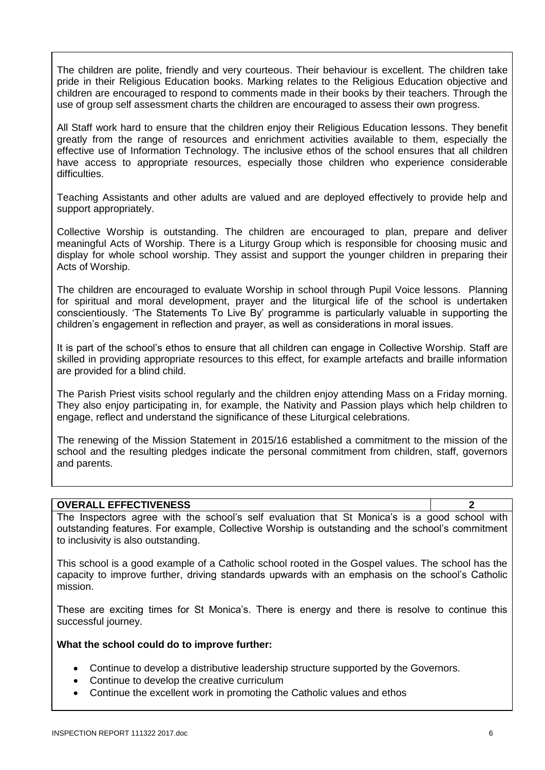The children are polite, friendly and very courteous. Their behaviour is excellent. The children take pride in their Religious Education books. Marking relates to the Religious Education objective and children are encouraged to respond to comments made in their books by their teachers. Through the use of group self assessment charts the children are encouraged to assess their own progress.

All Staff work hard to ensure that the children enjoy their Religious Education lessons. They benefit greatly from the range of resources and enrichment activities available to them, especially the effective use of Information Technology. The inclusive ethos of the school ensures that all children have access to appropriate resources, especially those children who experience considerable difficulties.

Teaching Assistants and other adults are valued and are deployed effectively to provide help and support appropriately.

Collective Worship is outstanding. The children are encouraged to plan, prepare and deliver meaningful Acts of Worship. There is a Liturgy Group which is responsible for choosing music and display for whole school worship. They assist and support the younger children in preparing their Acts of Worship.

The children are encouraged to evaluate Worship in school through Pupil Voice lessons. Planning for spiritual and moral development, prayer and the liturgical life of the school is undertaken conscientiously. 'The Statements To Live By' programme is particularly valuable in supporting the children's engagement in reflection and prayer, as well as considerations in moral issues.

It is part of the school's ethos to ensure that all children can engage in Collective Worship. Staff are skilled in providing appropriate resources to this effect, for example artefacts and braille information are provided for a blind child.

The Parish Priest visits school regularly and the children enjoy attending Mass on a Friday morning. They also enjoy participating in, for example, the Nativity and Passion plays which help children to engage, reflect and understand the significance of these Liturgical celebrations.

The renewing of the Mission Statement in 2015/16 established a commitment to the mission of the school and the resulting pledges indicate the personal commitment from children, staff, governors and parents.

#### **OVERALL EFFECTIVENESS 2**

The Inspectors agree with the school's self evaluation that St Monica's is a good school with outstanding features. For example, Collective Worship is outstanding and the school's commitment to inclusivity is also outstanding.

This school is a good example of a Catholic school rooted in the Gospel values. The school has the capacity to improve further, driving standards upwards with an emphasis on the school's Catholic mission.

These are exciting times for St Monica's. There is energy and there is resolve to continue this successful journey.

#### **What the school could do to improve further:**

- Continue to develop a distributive leadership structure supported by the Governors.
- Continue to develop the creative curriculum
- Continue the excellent work in promoting the Catholic values and ethos